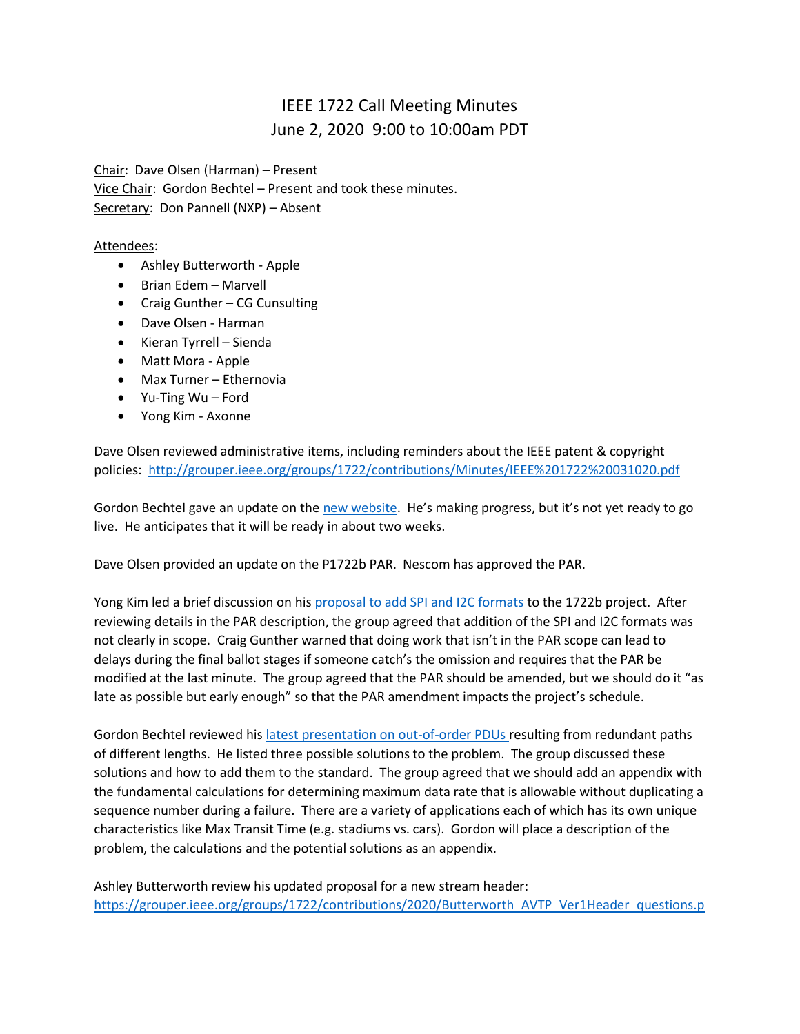## IEEE 1722 Call Meeting Minutes June 2, 2020 9:00 to 10:00am PDT

Chair: Dave Olsen (Harman) – Present Vice Chair: Gordon Bechtel – Present and took these minutes. Secretary: Don Pannell (NXP) - Absent

## Attendees:

- Ashley Butterworth Apple
- Brian Edem Marvell
- Craig Gunther CG Cunsulting
- Dave Olsen Harman
- Kieran Tyrrell Sienda
- Matt Mora Apple
- Max Turner Ethernovia
- Yu-Ting Wu Ford
- Yong Kim Axonne

Dave Olsen reviewed administrative items, including reminders about the IEEE patent & copyright policies:<http://grouper.ieee.org/groups/1722/contributions/Minutes/IEEE%201722%20031020.pdf>

Gordon Bechtel gave an update on the [new website](https://sagroups.ieee.org/1722/). He's making progress, but it's not yet ready to go live. He anticipates that it will be ready in about two weeks.

Dave Olsen provided an update on the P1722b PAR. Nescom has approved the PAR.

Yong Kim led a brief discussion on his [proposal to add SPI and I2C formats t](http://grouper.ieee.org/groups/1722/contributions/2020/IEEE1722-kim-Control-Format-proposal-for-I2C-and-SPI.pdf)o the 1722b project. After reviewing details in the PAR description, the group agreed that addition of the SPI and I2C formats was not clearly in scope. Craig Gunther warned that doing work that isn't in the PAR scope can lead to delays during the final ballot stages if someone catch's the omission and requires that the PAR be modified at the last minute. The group agreed that the PAR should be amended, but we should do it "as late as possible but early enough" so that the PAR amendment impacts the project's schedule.

Gordon Bechtel reviewed hi[s latest presentation on out-of-order PDUs r](http://grouper.ieee.org/groups/1722/contributions/2020/bechtel-oooPduPresentation-2020-06-02.pdf)esulting from redundant paths of different lengths. He listed three possible solutions to the problem. The group discussed these solutions and how to add them to the standard. The group agreed that we should add an appendix with the fundamental calculations for determining maximum data rate that is allowable without duplicating a sequence number during a failure. There are a variety of applications each of which has its own unique characteristics like Max Transit Time (e.g. stadiums vs. cars). Gordon will place a description of the problem, the calculations and the potential solutions as an appendix.

Ashley Butterworth review his updated proposal for a new stream header: [https://grouper.ieee.org/groups/1722/contributions/2020/Butterworth\\_AVTP\\_Ver1Header\\_questions.p](https://grouper.ieee.org/groups/1722/contributions/2020/Butterworth_AVTP_Ver1Header_questions.pdf)